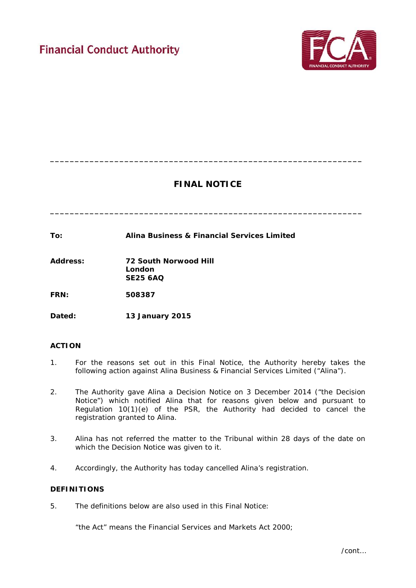

# **FINAL NOTICE**

**\_\_\_\_\_\_\_\_\_\_\_\_\_\_\_\_\_\_\_\_\_\_\_\_\_\_\_\_\_\_\_\_\_\_\_\_\_\_\_\_\_\_\_\_\_\_\_\_\_\_\_\_\_\_\_\_\_\_\_\_\_\_\_**

**\_\_\_\_\_\_\_\_\_\_\_\_\_\_\_\_\_\_\_\_\_\_\_\_\_\_\_\_\_\_\_\_\_\_\_\_\_\_\_\_\_\_\_\_\_\_\_\_\_\_\_\_\_\_\_\_\_\_\_\_\_\_\_**

| To: | Alina Business & Financial Services Limited |
|-----|---------------------------------------------|
|     |                                             |

**Address: 72 South Norwood Hill London SE25 6AQ**

**FRN: 508387**

**Dated: 13 January 2015** 

## **ACTION**

- 1. For the reasons set out in this Final Notice, the Authority hereby takes the following action against Alina Business & Financial Services Limited ("Alina").
- 2. The Authority gave Alina a Decision Notice on 3 December 2014 ("the Decision Notice") which notified Alina that for reasons given below and pursuant to Regulation 10(1)(e) of the PSR, the Authority had decided to cancel the registration granted to Alina.
- 3. Alina has not referred the matter to the Tribunal within 28 days of the date on which the Decision Notice was given to it.
- 4. Accordingly, the Authority has today cancelled Alina's registration.

### **DEFINITIONS**

5. The definitions below are also used in this Final Notice:

"the Act" means the Financial Services and Markets Act 2000;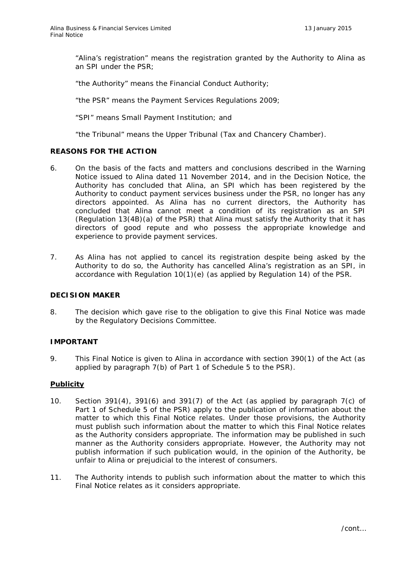"Alina's registration" means the registration granted by the Authority to Alina as an SPI under the PSR;

"the Authority" means the Financial Conduct Authority;

"the PSR" means the Payment Services Regulations 2009;

"SPI" means Small Payment Institution; and

"the Tribunal" means the Upper Tribunal (Tax and Chancery Chamber).

### **REASONS FOR THE ACTION**

- 6. On the basis of the facts and matters and conclusions described in the Warning Notice issued to Alina dated 11 November 2014, and in the Decision Notice, the Authority has concluded that Alina, an SPI which has been registered by the Authority to conduct payment services business under the PSR, no longer has any directors appointed. As Alina has no current directors, the Authority has concluded that Alina cannot meet a condition of its registration as an SPI (Regulation 13(4B)(a) of the PSR) that Alina must satisfy the Authority that it has directors of good repute and who possess the appropriate knowledge and experience to provide payment services.
- 7. As Alina has not applied to cancel its registration despite being asked by the Authority to do so, the Authority has cancelled Alina's registration as an SPI, in accordance with Regulation 10(1)(e) (as applied by Regulation 14) of the PSR.

#### **DECISION MAKER**

8. The decision which gave rise to the obligation to give this Final Notice was made by the Regulatory Decisions Committee.

### **IMPORTANT**

9. This Final Notice is given to Alina in accordance with section 390(1) of the Act (as applied by paragraph 7(b) of Part 1 of Schedule 5 to the PSR).

#### **Publicity**

- 10. Section 391(4), 391(6) and 391(7) of the Act (as applied by paragraph 7(c) of Part 1 of Schedule 5 of the PSR) apply to the publication of information about the matter to which this Final Notice relates. Under those provisions, the Authority must publish such information about the matter to which this Final Notice relates as the Authority considers appropriate. The information may be published in such manner as the Authority considers appropriate. However, the Authority may not publish information if such publication would, in the opinion of the Authority, be unfair to Alina or prejudicial to the interest of consumers.
- 11. The Authority intends to publish such information about the matter to which this Final Notice relates as it considers appropriate.